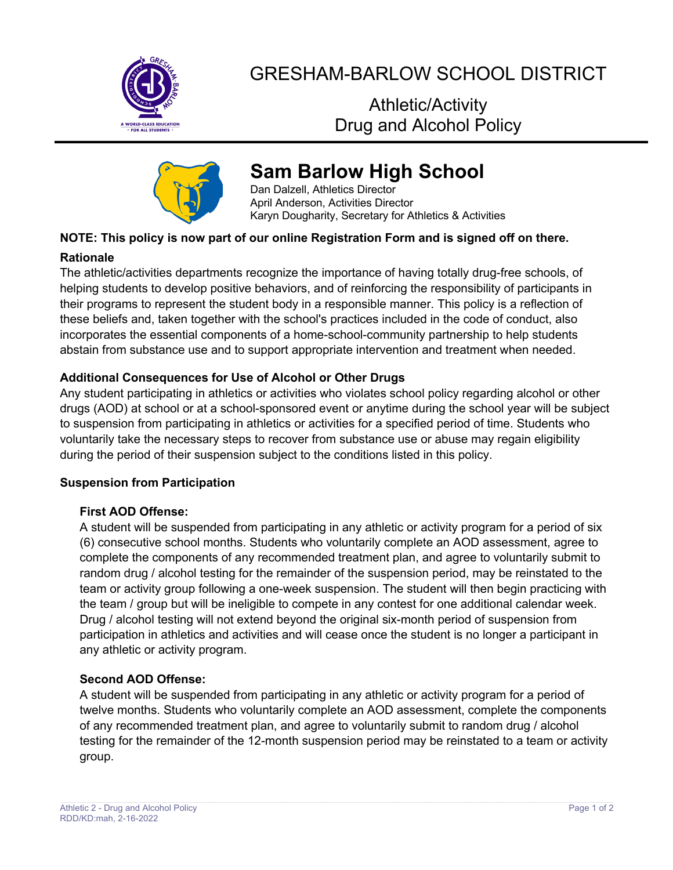

## GRESHAM-BARLOW SCHOOL DISTRICT

Athletic/Activity Drug and Alcohol Policy



# **Sam Barlow High School**

Dan Dalzell, Athletics Director April Anderson, Activities Director Karyn Dougharity, Secretary for Athletics & Activities

## **NOTE: This policy is now part of our online Registration Form and is signed off on there.**

#### **Rationale**

The athletic/activities departments recognize the importance of having totally drug-free schools, of helping students to develop positive behaviors, and of reinforcing the responsibility of participants in their programs to represent the student body in a responsible manner. This policy is a reflection of these beliefs and, taken together with the school's practices included in the code of conduct, also incorporates the essential components of a home-school-community partnership to help students abstain from substance use and to support appropriate intervention and treatment when needed.

## **Additional Consequences for Use of Alcohol or Other Drugs**

Any student participating in athletics or activities who violates school policy regarding alcohol or other drugs (AOD) at school or at a school-sponsored event or anytime during the school year will be subject to suspension from participating in athletics or activities for a specified period of time. Students who voluntarily take the necessary steps to recover from substance use or abuse may regain eligibility during the period of their suspension subject to the conditions listed in this policy.

#### **Suspension from Participation**

## **First AOD Offense:**

A student will be suspended from participating in any athletic or activity program for a period of six (6) consecutive school months. Students who voluntarily complete an AOD assessment, agree to complete the components of any recommended treatment plan, and agree to voluntarily submit to random drug / alcohol testing for the remainder of the suspension period, may be reinstated to the team or activity group following a one-week suspension. The student will then begin practicing with the team / group but will be ineligible to compete in any contest for one additional calendar week. Drug / alcohol testing will not extend beyond the original six-month period of suspension from participation in athletics and activities and will cease once the student is no longer a participant in any athletic or activity program.

#### **Second AOD Offense:**

A student will be suspended from participating in any athletic or activity program for a period of twelve months. Students who voluntarily complete an AOD assessment, complete the components of any recommended treatment plan, and agree to voluntarily submit to random drug / alcohol testing for the remainder of the 12-month suspension period may be reinstated to a team or activity group.